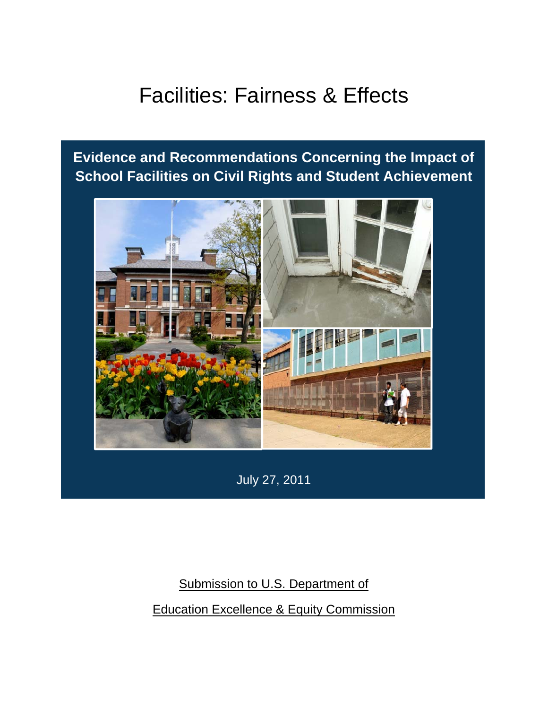# Facilities: Fairness & Effects

## **Evidence and Recommendations Concerning the Impact of School Facilities on Civil Rights and Student Achievement**



July 27, 2011

Submission to U.S. Department of Education Excellence & Equity Commission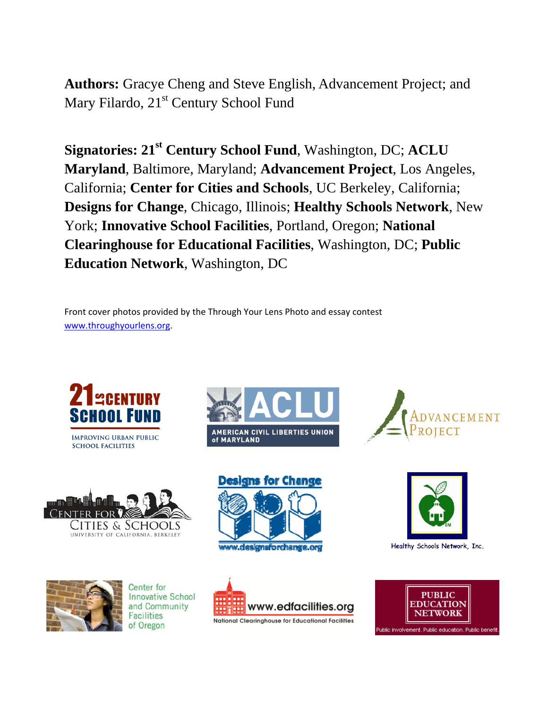**Authors:** Gracye Cheng and Steve English, Advancement Project; and Mary Filardo, 21<sup>st</sup> Century School Fund

**Signatories: 21st Century School Fund**, Washington, DC; **ACLU Maryland**, Baltimore, Maryland; **Advancement Project**, Los Angeles, California; **Center for Cities and Schools**, UC Berkeley, California; **Designs for Change**, Chicago, Illinois; **Healthy Schools Network**, New York; **Innovative School Facilities**, Portland, Oregon; **National Clearinghouse for Educational Facilities**, Washington, DC; **Public Education Network**, Washington, DC

Front cover photos provided by the Through Your Lens Photo and essay contest www.throughyourlens.org.









Center for **Innovative School** and Community **Facilities** of Oregon









National Clearinghouse for Educational Facilities





Healthy Schools Network, Inc.



Public involvement. Public education. Public benefit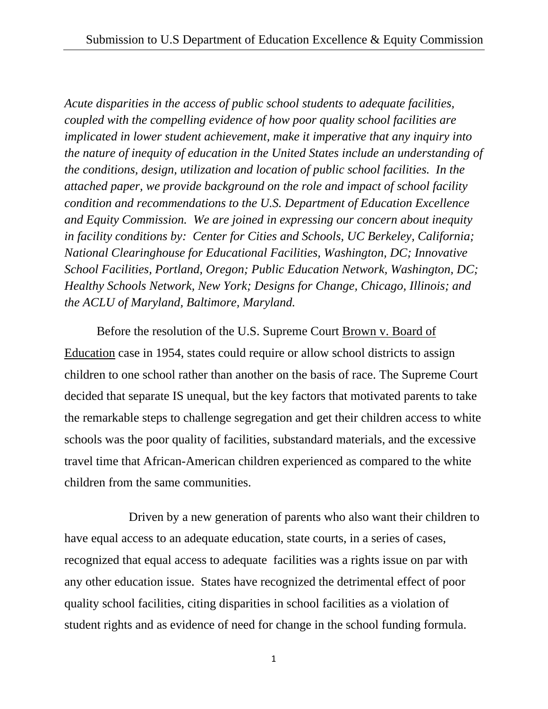*Acute disparities in the access of public school students to adequate facilities, coupled with the compelling evidence of how poor quality school facilities are implicated in lower student achievement, make it imperative that any inquiry into the nature of inequity of education in the United States include an understanding of the conditions, design, utilization and location of public school facilities. In the attached paper, we provide background on the role and impact of school facility condition and recommendations to the U.S. Department of Education Excellence and Equity Commission. We are joined in expressing our concern about inequity in facility conditions by: Center for Cities and Schools, UC Berkeley, California; National Clearinghouse for Educational Facilities, Washington, DC; Innovative School Facilities, Portland, Oregon; Public Education Network, Washington, DC; Healthy Schools Network, New York; Designs for Change, Chicago, Illinois; and the ACLU of Maryland, Baltimore, Maryland.* 

Before the resolution of the U.S. Supreme Court Brown v. Board of Education case in 1954, states could require or allow school districts to assign children to one school rather than another on the basis of race. The Supreme Court decided that separate IS unequal, but the key factors that motivated parents to take the remarkable steps to challenge segregation and get their children access to white schools was the poor quality of facilities, substandard materials, and the excessive travel time that African-American children experienced as compared to the white children from the same communities.

 Driven by a new generation of parents who also want their children to have equal access to an adequate education, state courts, in a series of cases, recognized that equal access to adequate facilities was a rights issue on par with any other education issue. States have recognized the detrimental effect of poor quality school facilities, citing disparities in school facilities as a violation of student rights and as evidence of need for change in the school funding formula.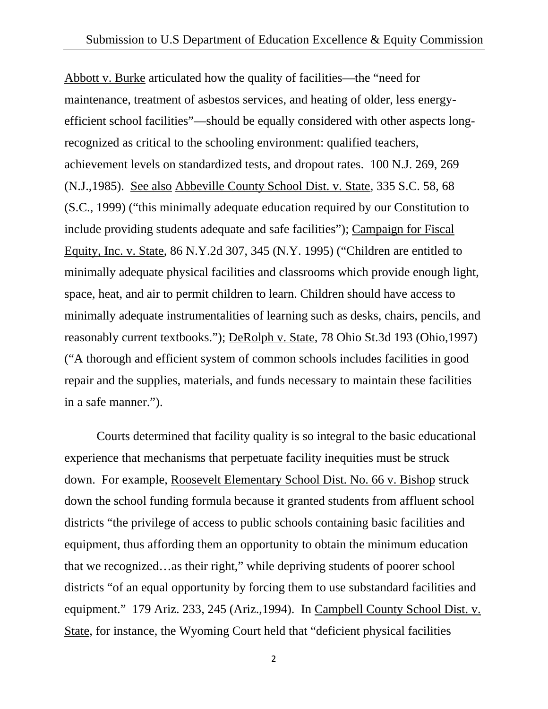Abbott v. Burke articulated how the quality of facilities—the "need for maintenance, treatment of asbestos services, and heating of older, less energyefficient school facilities"—should be equally considered with other aspects longrecognized as critical to the schooling environment: qualified teachers, achievement levels on standardized tests, and dropout rates. 100 N.J. 269, 269 (N.J.,1985). See also Abbeville County School Dist. v. State, 335 S.C. 58, 68 (S.C., 1999) ("this minimally adequate education required by our Constitution to include providing students adequate and safe facilities"); Campaign for Fiscal Equity, Inc. v. State, 86 N.Y.2d 307, 345 (N.Y. 1995) ("Children are entitled to minimally adequate physical facilities and classrooms which provide enough light, space, heat, and air to permit children to learn. Children should have access to minimally adequate instrumentalities of learning such as desks, chairs, pencils, and reasonably current textbooks."); DeRolph v. State, 78 Ohio St.3d 193 (Ohio,1997) ("A thorough and efficient system of common schools includes facilities in good repair and the supplies, materials, and funds necessary to maintain these facilities in a safe manner.").

Courts determined that facility quality is so integral to the basic educational experience that mechanisms that perpetuate facility inequities must be struck down. For example, Roosevelt Elementary School Dist. No. 66 v. Bishop struck down the school funding formula because it granted students from affluent school districts "the privilege of access to public schools containing basic facilities and equipment, thus affording them an opportunity to obtain the minimum education that we recognized…as their right," while depriving students of poorer school districts "of an equal opportunity by forcing them to use substandard facilities and equipment." 179 Ariz. 233, 245 (Ariz., 1994). In Campbell County School Dist. v. State, for instance, the Wyoming Court held that "deficient physical facilities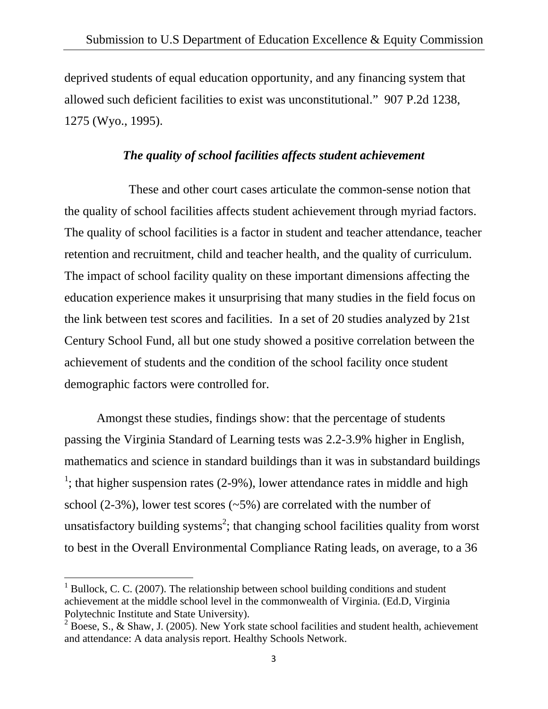deprived students of equal education opportunity, and any financing system that allowed such deficient facilities to exist was unconstitutional." 907 P.2d 1238, 1275 (Wyo., 1995).

#### *The quality of school facilities affects student achievement*

 These and other court cases articulate the common-sense notion that the quality of school facilities affects student achievement through myriad factors. The quality of school facilities is a factor in student and teacher attendance, teacher retention and recruitment, child and teacher health, and the quality of curriculum. The impact of school facility quality on these important dimensions affecting the education experience makes it unsurprising that many studies in the field focus on the link between test scores and facilities. In a set of 20 studies analyzed by 21st Century School Fund, all but one study showed a positive correlation between the achievement of students and the condition of the school facility once student demographic factors were controlled for.

Amongst these studies, findings show: that the percentage of students passing the Virginia Standard of Learning tests was 2.2-3.9% higher in English, mathematics and science in standard buildings than it was in substandard buildings <sup>1</sup>; that higher suspension rates  $(2-9%)$ , lower attendance rates in middle and high school  $(2-3\%)$ , lower test scores  $(-5\%)$  are correlated with the number of unsatisfactory building systems<sup>2</sup>; that changing school facilities quality from worst to best in the Overall Environmental Compliance Rating leads, on average, to a 36

 $1$  Bullock, C. C. (2007). The relationship between school building conditions and student achievement at the middle school level in the commonwealth of Virginia. (Ed.D, Virginia Polytechnic Institute and State University).

 $2^{2}$  Boese, S., & Shaw, J. (2005). New York state school facilities and student health, achievement and attendance: A data analysis report. Healthy Schools Network.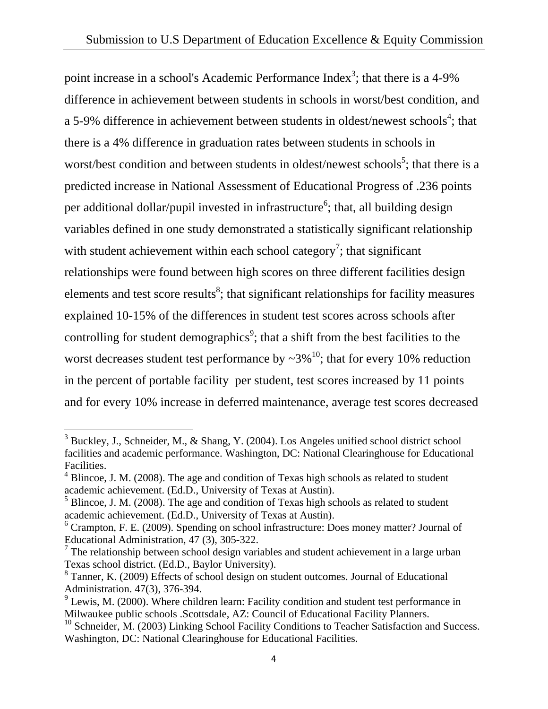point increase in a school's Academic Performance Index<sup>3</sup>; that there is a 4-9% difference in achievement between students in schools in worst/best condition, and a 5-9% difference in achievement between students in oldest/newest schools<sup>4</sup>; that there is a 4% difference in graduation rates between students in schools in worst/best condition and between students in oldest/newest schools<sup>5</sup>; that there is a predicted increase in National Assessment of Educational Progress of .236 points per additional dollar/pupil invested in infrastructure<sup>6</sup>; that, all building design variables defined in one study demonstrated a statistically significant relationship with student achievement within each school category<sup>7</sup>; that significant relationships were found between high scores on three different facilities design elements and test score results<sup>8</sup>; that significant relationships for facility measures explained 10-15% of the differences in student test scores across schools after controlling for student demographics<sup>9</sup>; that a shift from the best facilities to the worst decreases student test performance by  $\sim 3\%$ <sup>10</sup>; that for every 10% reduction in the percent of portable facility per student, test scores increased by 11 points and for every 10% increase in deferred maintenance, average test scores decreased

<sup>&</sup>lt;sup>3</sup> Buckley, J., Schneider, M., & Shang, Y. (2004). Los Angeles unified school district school facilities and academic performance. Washington, DC: National Clearinghouse for Educational Facilities.

 $4$  Blincoe, J. M. (2008). The age and condition of Texas high schools as related to student academic achievement. (Ed.D., University of Texas at Austin).

<sup>&</sup>lt;sup>5</sup> Blincoe, J. M. (2008). The age and condition of Texas high schools as related to student academic achievement. (Ed.D., University of Texas at Austin).

<sup>&</sup>lt;sup>6</sup> Crampton, F. E. (2009). Spending on school infrastructure: Does money matter? Journal of Educational Administration, 47 (3), 305-322.

 $<sup>7</sup>$  The relationship between school design variables and student achievement in a large urban</sup> Texas school district. (Ed.D., Baylor University).

<sup>&</sup>lt;sup>8</sup> Tanner, K. (2009) Effects of school design on student outcomes. Journal of Educational Administration. 47(3), 376-394.

 $9$  Lewis, M. (2000). Where children learn: Facility condition and student test performance in Milwaukee public schools .Scottsdale, AZ: Council of Educational Facility Planners.

 $10$  Schneider, M. (2003) Linking School Facility Conditions to Teacher Satisfaction and Success. Washington, DC: National Clearinghouse for Educational Facilities.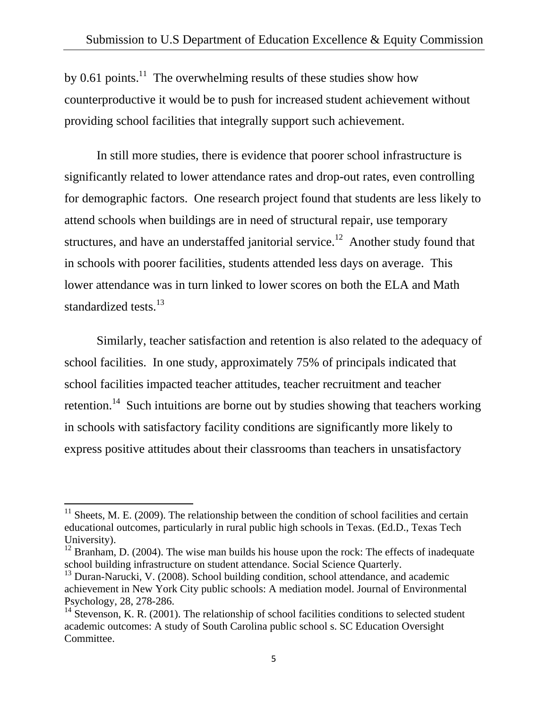by 0.61 points.<sup>11</sup> The overwhelming results of these studies show how counterproductive it would be to push for increased student achievement without providing school facilities that integrally support such achievement.

In still more studies, there is evidence that poorer school infrastructure is significantly related to lower attendance rates and drop-out rates, even controlling for demographic factors. One research project found that students are less likely to attend schools when buildings are in need of structural repair, use temporary structures, and have an understaffed janitorial service.<sup>12</sup> Another study found that in schools with poorer facilities, students attended less days on average. This lower attendance was in turn linked to lower scores on both the ELA and Math standardized tests.<sup>13</sup>

Similarly, teacher satisfaction and retention is also related to the adequacy of school facilities. In one study, approximately 75% of principals indicated that school facilities impacted teacher attitudes, teacher recruitment and teacher retention.<sup>14</sup> Such intuitions are borne out by studies showing that teachers working in schools with satisfactory facility conditions are significantly more likely to express positive attitudes about their classrooms than teachers in unsatisfactory

 $11$  Sheets, M. E. (2009). The relationship between the condition of school facilities and certain educational outcomes, particularly in rural public high schools in Texas. (Ed.D., Texas Tech University).

 $12$  Branham, D. (2004). The wise man builds his house upon the rock: The effects of inadequate school building infrastructure on student attendance. Social Science Quarterly.

 $13$  Duran-Narucki, V. (2008). School building condition, school attendance, and academic achievement in New York City public schools: A mediation model. Journal of Environmental Psychology, 28, 278-286.

 $14$  Stevenson, K. R. (2001). The relationship of school facilities conditions to selected student academic outcomes: A study of South Carolina public school s. SC Education Oversight Committee.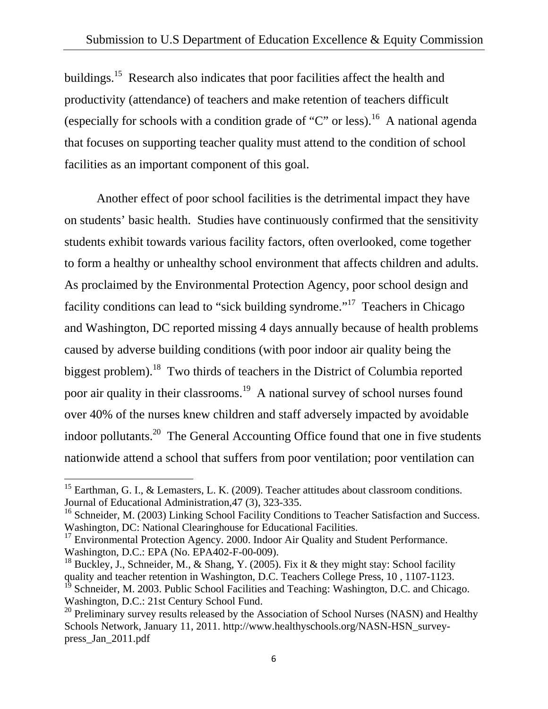buildings.<sup>15</sup> Research also indicates that poor facilities affect the health and productivity (attendance) of teachers and make retention of teachers difficult (especially for schools with a condition grade of "C" or less).<sup>16</sup> A national agenda that focuses on supporting teacher quality must attend to the condition of school facilities as an important component of this goal.

Another effect of poor school facilities is the detrimental impact they have on students' basic health. Studies have continuously confirmed that the sensitivity students exhibit towards various facility factors, often overlooked, come together to form a healthy or unhealthy school environment that affects children and adults. As proclaimed by the Environmental Protection Agency, poor school design and facility conditions can lead to "sick building syndrome."17 Teachers in Chicago and Washington, DC reported missing 4 days annually because of health problems caused by adverse building conditions (with poor indoor air quality being the biggest problem).<sup>18</sup> Two thirds of teachers in the District of Columbia reported poor air quality in their classrooms.<sup>19</sup> A national survey of school nurses found over 40% of the nurses knew children and staff adversely impacted by avoidable indoor pollutants.<sup>20</sup> The General Accounting Office found that one in five students nationwide attend a school that suffers from poor ventilation; poor ventilation can

<sup>&</sup>lt;sup>15</sup> Earthman, G. I., & Lemasters, L. K. (2009). Teacher attitudes about classroom conditions. Journal of Educational Administration,47 (3), 323-335.

 $16$  Schneider, M. (2003) Linking School Facility Conditions to Teacher Satisfaction and Success. Washington, DC: National Clearinghouse for Educational Facilities.

 $17$  Environmental Protection Agency. 2000. Indoor Air Quality and Student Performance. Washington, D.C.: EPA (No. EPA402-F-00-009).

<sup>&</sup>lt;sup>18</sup> Buckley, J., Schneider, M., & Shang, Y. (2005). Fix it & they might stay: School facility quality and teacher retention in Washington, D.C. Teachers College Press, 10 , 1107-1123.

<sup>&</sup>lt;sup>19</sup> Schneider, M. 2003. Public School Facilities and Teaching: Washington, D.C. and Chicago. Washington, D.C.: 21st Century School Fund.

 $20$  Preliminary survey results released by the Association of School Nurses (NASN) and Healthy Schools Network, January 11, 2011. http://www.healthyschools.org/NASN-HSN\_surveypress\_Jan\_2011.pdf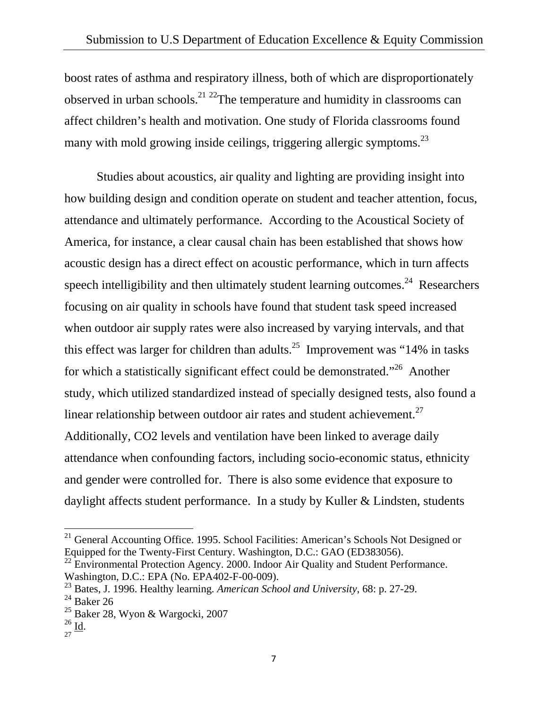boost rates of asthma and respiratory illness, both of which are disproportionately observed in urban schools.<sup>21</sup> <sup>22</sup>The temperature and humidity in classrooms can affect children's health and motivation. One study of Florida classrooms found many with mold growing inside ceilings, triggering allergic symptoms.<sup>23</sup>

Studies about acoustics, air quality and lighting are providing insight into how building design and condition operate on student and teacher attention, focus, attendance and ultimately performance. According to the Acoustical Society of America, for instance, a clear causal chain has been established that shows how acoustic design has a direct effect on acoustic performance, which in turn affects speech intelligibility and then ultimately student learning outcomes.<sup>24</sup> Researchers focusing on air quality in schools have found that student task speed increased when outdoor air supply rates were also increased by varying intervals, and that this effect was larger for children than adults.<sup>25</sup> Improvement was "14% in tasks" for which a statistically significant effect could be demonstrated."26 Another study, which utilized standardized instead of specially designed tests, also found a linear relationship between outdoor air rates and student achievement.<sup>27</sup> Additionally, CO2 levels and ventilation have been linked to average daily attendance when confounding factors, including socio-economic status, ethnicity and gender were controlled for. There is also some evidence that exposure to daylight affects student performance. In a study by Kuller & Lindsten, students

 $21$  General Accounting Office. 1995. School Facilities: American's Schools Not Designed or Equipped for the Twenty-First Century. Washington, D.C.: GAO (ED383056).

<sup>&</sup>lt;sup>22</sup> Environmental Protection Agency. 2000. Indoor Air Quality and Student Performance. Washington, D.C.: EPA (No. EPA402-F-00-009).

<sup>23</sup> Bates, J. 1996. Healthy learning*. American School and University*, 68: p. 27-29.

 $^{24}$  Baker 26

 $25$  Baker 28, Wyon & Wargocki, 2007

 $rac{26}{27}$  **Id.**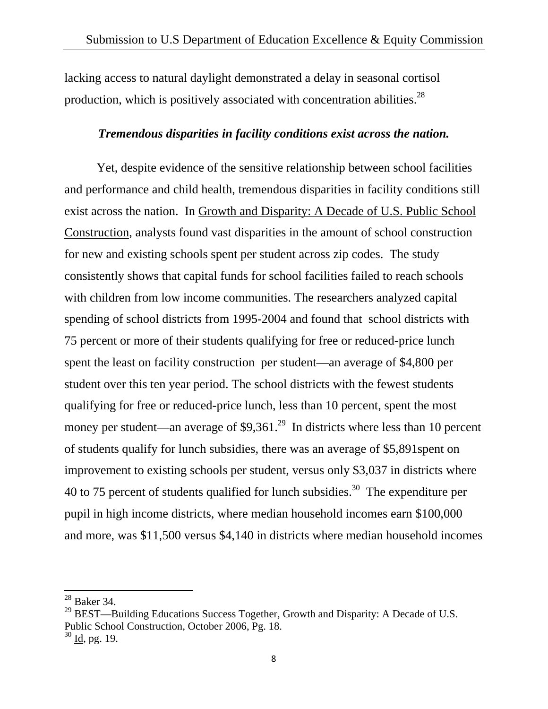lacking access to natural daylight demonstrated a delay in seasonal cortisol production, which is positively associated with concentration abilities.<sup>28</sup>

#### *Tremendous disparities in facility conditions exist across the nation.*

 Yet, despite evidence of the sensitive relationship between school facilities and performance and child health, tremendous disparities in facility conditions still exist across the nation. In Growth and Disparity: A Decade of U.S. Public School Construction, analysts found vast disparities in the amount of school construction for new and existing schools spent per student across zip codes. The study consistently shows that capital funds for school facilities failed to reach schools with children from low income communities. The researchers analyzed capital spending of school districts from 1995-2004 and found that school districts with 75 percent or more of their students qualifying for free or reduced-price lunch spent the least on facility construction per student—an average of \$4,800 per student over this ten year period. The school districts with the fewest students qualifying for free or reduced-price lunch, less than 10 percent, spent the most money per student—an average of  $$9,361<sup>29</sup>$  In districts where less than 10 percent of students qualify for lunch subsidies, there was an average of \$5,891spent on improvement to existing schools per student, versus only \$3,037 in districts where 40 to 75 percent of students qualified for lunch subsidies.<sup>30</sup> The expenditure per pupil in high income districts, where median household incomes earn \$100,000 and more, was \$11,500 versus \$4,140 in districts where median household incomes

<sup>28</sup> Baker 34.

 $^{29}$  BEST—Building Educations Success Together, Growth and Disparity: A Decade of U.S. Public School Construction, October 2006, Pg. 18.

 $30$  Id, pg. 19.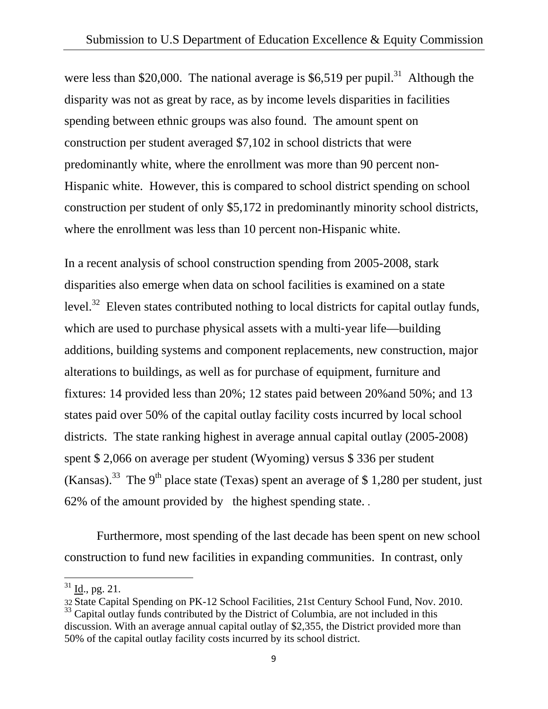were less than \$20,000. The national average is  $$6,519$  per pupil.<sup>31</sup> Although the disparity was not as great by race, as by income levels disparities in facilities spending between ethnic groups was also found. The amount spent on construction per student averaged \$7,102 in school districts that were predominantly white, where the enrollment was more than 90 percent non-Hispanic white. However, this is compared to school district spending on school construction per student of only \$5,172 in predominantly minority school districts, where the enrollment was less than 10 percent non-Hispanic white.

In a recent analysis of school construction spending from 2005-2008, stark disparities also emerge when data on school facilities is examined on a state level.<sup>32</sup> Eleven states contributed nothing to local districts for capital outlay funds, which are used to purchase physical assets with a multi-year life—building additions, building systems and component replacements, new construction, major alterations to buildings, as well as for purchase of equipment, furniture and fixtures: 14 provided less than 20%; 12 states paid between 20%and 50%; and 13 states paid over 50% of the capital outlay facility costs incurred by local school districts. The state ranking highest in average annual capital outlay (2005-2008) spent \$ 2,066 on average per student (Wyoming) versus \$ 336 per student (Kansas).<sup>33</sup> The 9<sup>th</sup> place state (Texas) spent an average of \$ 1,280 per student, just 62% of the amount provided by the highest spending state. .

 Furthermore, most spending of the last decade has been spent on new school construction to fund new facilities in expanding communities. In contrast, only

 $31$  Id., pg. 21.

<sup>32</sup> State Capital Spending on PK-12 School Facilities, 21st Century School Fund, Nov. 2010.

<sup>&</sup>lt;sup>33</sup> Capital outlay funds contributed by the District of Columbia, are not included in this discussion. With an average annual capital outlay of \$2,355, the District provided more than 50% of the capital outlay facility costs incurred by its school district.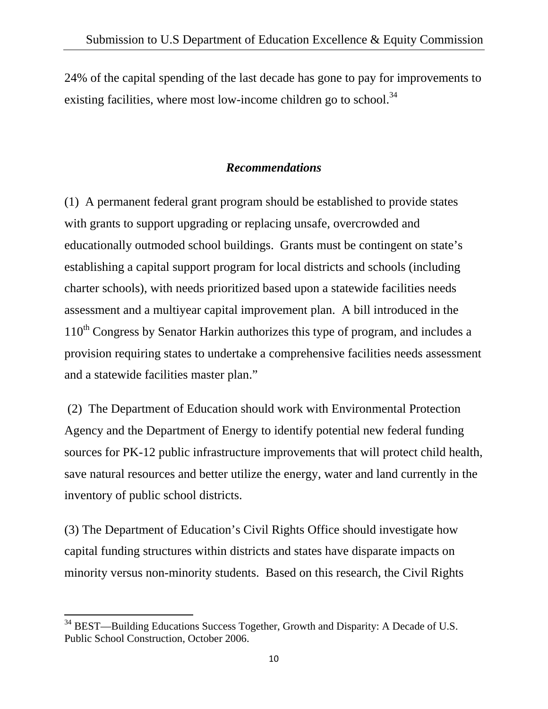24% of the capital spending of the last decade has gone to pay for improvements to existing facilities, where most low-income children go to school.<sup>34</sup>

### *Recommendations*

(1) A permanent federal grant program should be established to provide states with grants to support upgrading or replacing unsafe, overcrowded and educationally outmoded school buildings. Grants must be contingent on state's establishing a capital support program for local districts and schools (including charter schools), with needs prioritized based upon a statewide facilities needs assessment and a multiyear capital improvement plan. A bill introduced in the  $110<sup>th</sup>$  Congress by Senator Harkin authorizes this type of program, and includes a provision requiring states to undertake a comprehensive facilities needs assessment and a statewide facilities master plan."

 (2) The Department of Education should work with Environmental Protection Agency and the Department of Energy to identify potential new federal funding sources for PK-12 public infrastructure improvements that will protect child health, save natural resources and better utilize the energy, water and land currently in the inventory of public school districts.

(3) The Department of Education's Civil Rights Office should investigate how capital funding structures within districts and states have disparate impacts on minority versus non-minority students. Based on this research, the Civil Rights

 $34$  BEST—Building Educations Success Together, Growth and Disparity: A Decade of U.S. Public School Construction, October 2006.